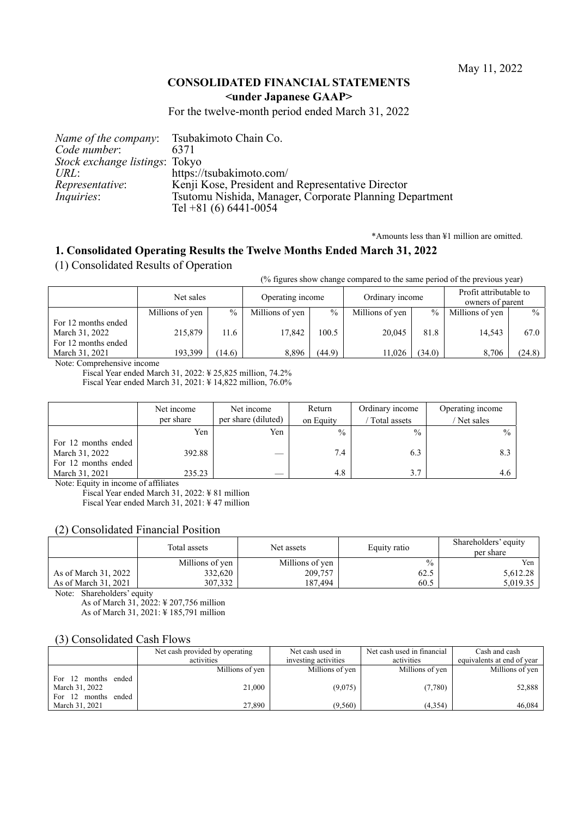### **CONSOLIDATED FINANCIAL STATEMENTS <under Japanese GAAP>**

For the twelve-month period ended March 31, 2022

|                                | <i>Name of the company:</i> Tsubakimoto Chain Co.       |
|--------------------------------|---------------------------------------------------------|
| Code number:                   | 6371                                                    |
| Stock exchange listings: Tokyo |                                                         |
| URL:                           | https://tsubakimoto.com/                                |
| <i>Representative:</i>         | Kenji Kose, President and Representative Director       |
| <i>Inquiries:</i>              | Tsutomu Nishida, Manager, Corporate Planning Department |
|                                | Tel +81 (6) $6441 - 0054$                               |

\*Amounts less than ¥1 million are omitted.

# **1. Consolidated Operating Results the Twelve Months Ended March 31, 2022**

(1) Consolidated Results of Operation

(% figures show change compared to the same period of the previous year)

|                     | Net sales       |        | Operating income |               | Ordinary income |        | Profit attributable to<br>owners of parent |               |
|---------------------|-----------------|--------|------------------|---------------|-----------------|--------|--------------------------------------------|---------------|
|                     | Millions of yen | $\%$   | Millions of yen  | $\frac{0}{0}$ | Millions of yen | $\%$   | Millions of yen                            | $\frac{0}{0}$ |
| For 12 months ended |                 |        |                  |               |                 |        |                                            |               |
| March 31, 2022      | 215,879         | 11.6   | 17.842           | 100.5         | 20,045          | 81.8   | 14.543                                     | 67.0          |
| For 12 months ended |                 |        |                  |               |                 |        |                                            |               |
| March 31, 2021      | 193,399         | (14.6) | 8.896            | (44.9)        | 11,026          | (34.0) | 8,706                                      | (24.8)        |
|                     |                 |        |                  |               |                 |        |                                            |               |

Note: Comprehensive income

Fiscal Year ended March 31, 2022: ¥ 25,825 million, 74.2% Fiscal Year ended March 31, 2021: ¥ 14,822 million, 76.0%

Net income per share Net income per share (diluted) Return on Equity Ordinary income / Total assets Operating income / Net sales Yen Yen  $\frac{9}{6}$  %  $\frac{9}{6}$  % For 12 months ended March 31, 2022  $392.88$   $-$  7.4 6.3 8.3 For 12 months ended March 31, 2021 235.23  $-$  4.8 3.7 3.7 4.6

Note: Equity in income of affiliates

Fiscal Year ended March 31, 2022: ¥ 81 million

Fiscal Year ended March 31, 2021: ¥ 47 million

### (2) Consolidated Financial Position

|                      | Total assets    | Net assets      | Equity ratio  | Shareholders' equity<br>per share |
|----------------------|-----------------|-----------------|---------------|-----------------------------------|
|                      | Millions of yen | Millions of yen | $\frac{0}{0}$ | Yen                               |
| As of March 31, 2022 | 332,620         | 209,757         | 62.5          | 5,612.28                          |
| As of March 31, 2021 | 307.332         | 187.494         | 60.5          | 5.019.35                          |

Note: Shareholders' equity

As of March 31, 2022: ¥ 207,756 million As of March 31, 2021: ¥ 185,791 million

### (3) Consolidated Cash Flows

|                     | Net cash provided by operating | Net cash used in     | Net cash used in financial | Cash and cash              |
|---------------------|--------------------------------|----------------------|----------------------------|----------------------------|
|                     | activities                     | investing activities | activities                 | equivalents at end of year |
|                     | Millions of yen                | Millions of yen      | Millions of yen            | Millions of yen            |
| For 12 months ended |                                |                      |                            |                            |
| March 31, 2022      | 21,000                         | (9,075)              | (7,780)                    | 52,888                     |
| For 12 months ended |                                |                      |                            |                            |
| March 31, 2021      | 27,890                         | (9,560)              | (4, 354)                   | 46,084                     |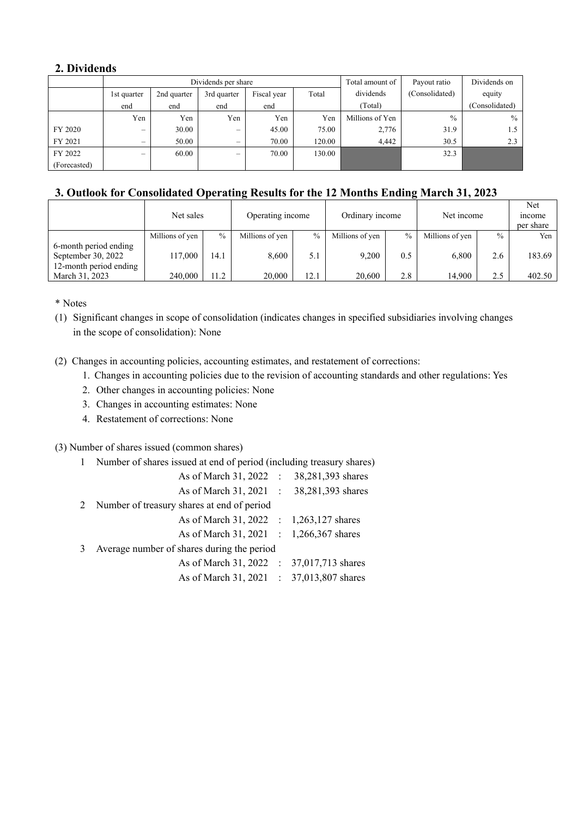# **2. Dividends**

|              |             |             | Dividends per share      | Total amount of | Payout ratio | Dividends on    |                |                |
|--------------|-------------|-------------|--------------------------|-----------------|--------------|-----------------|----------------|----------------|
|              | 1st quarter | 2nd quarter | 3rd quarter              | Fiscal year     | Total        | dividends       | (Consolidated) | equity         |
|              | end         | end         | end                      | end             |              | (Total)         |                | (Consolidated) |
|              | Yen         | Yen         | Yen                      | Yen             | Yen          | Millions of Yen | $\%$           | $\%$           |
| FY 2020      |             | 30.00       |                          | 45.00           | 75.00        | 2,776           | 31.9           | 1.5            |
| FY 2021      |             | 50.00       |                          | 70.00           | 120.00       | 4,442           | 30.5           | 2.3            |
| FY 2022      | -           | 60.00       | $\overline{\phantom{0}}$ | 70.00           | 130.00       |                 | 32.3           |                |
| (Forecasted) |             |             |                          |                 |              |                 |                |                |

# **3. Outlook for Consolidated Operating Results for the 12 Months Ending March 31, 2023**

|                        | Net sales       |               | Operating income |               | Ordinary income |               | Net income      |               | Net<br><i>n</i> come<br>per share |
|------------------------|-----------------|---------------|------------------|---------------|-----------------|---------------|-----------------|---------------|-----------------------------------|
|                        | Millions of yen | $\frac{0}{0}$ | Millions of yen  | $\frac{0}{0}$ | Millions of yen | $\frac{0}{0}$ | Millions of yen | $\frac{0}{0}$ | Yen                               |
| 6-month period ending  |                 |               |                  |               |                 |               |                 |               |                                   |
| September 30, 2022     | 117,000         | 14.1          | 8.600            | 5.1           | 9.200           | 0.5           | 6.800           | 2.6           | 183.69                            |
| 12-month period ending |                 |               |                  |               |                 |               |                 |               |                                   |
| March 31, 2023         | 240,000         | 11.2          | 20,000           | 12.1          | 20,600          | 2.8           | 14.900          | 2.5           | 402.50                            |

\* Notes

(1) Significant changes in scope of consolidation (indicates changes in specified subsidiaries involving changes in the scope of consolidation): None

- (2) Changes in accounting policies, accounting estimates, and restatement of corrections:
	- 1. Changes in accounting policies due to the revision of accounting standards and other regulations: Yes
	- 2. Other changes in accounting policies: None
	- 3. Changes in accounting estimates: None
	- 4. Restatement of corrections: None

(3) Number of shares issued (common shares)

| 1 Number of shares issued at end of period (including treasury shares) |  |
|------------------------------------------------------------------------|--|
|------------------------------------------------------------------------|--|

|  |                                              | 38,281,393 shares                                                                                                                                                                                                                                                                                |
|--|----------------------------------------------|--------------------------------------------------------------------------------------------------------------------------------------------------------------------------------------------------------------------------------------------------------------------------------------------------|
|  |                                              |                                                                                                                                                                                                                                                                                                  |
|  |                                              |                                                                                                                                                                                                                                                                                                  |
|  |                                              |                                                                                                                                                                                                                                                                                                  |
|  |                                              |                                                                                                                                                                                                                                                                                                  |
|  |                                              |                                                                                                                                                                                                                                                                                                  |
|  |                                              |                                                                                                                                                                                                                                                                                                  |
|  |                                              |                                                                                                                                                                                                                                                                                                  |
|  | 2 Number of treasury shares at end of period | As of March $31, 2022$ :<br>As of March 31, 2021 : 38,281,393 shares<br>As of March 31, 2022 : 1,263,127 shares<br>As of March 31, 2021 : 1,266,367 shares<br>Average number of shares during the period<br>As of March 31, 2022 : 37,017,713 shares<br>As of March 31, 2021 : 37,013,807 shares |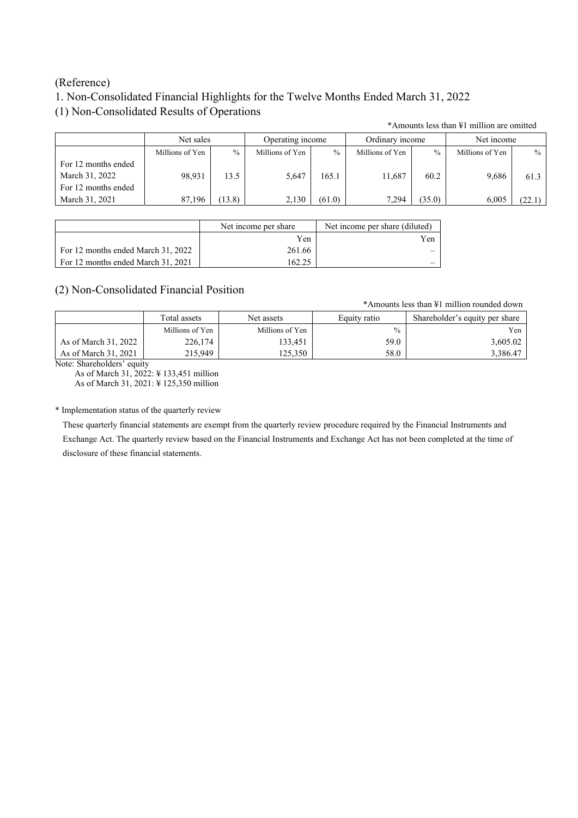## (Reference)

# 1. Non-Consolidated Financial Highlights for the Twelve Months Ended March 31, 2022

# (1) Non-Consolidated Results of Operations

\*Amounts less than ¥1 million are omitted

|                                                              | Net sales       |        | Operating income |               | Ordinary income |        | Net income      |        |
|--------------------------------------------------------------|-----------------|--------|------------------|---------------|-----------------|--------|-----------------|--------|
|                                                              | Millions of Yen | $\%$   | Millions of Yen  | $\frac{0}{0}$ | Millions of Yen | $\%$   | Millions of Yen | $\%$   |
| For 12 months ended<br>March 31, 2022<br>For 12 months ended | 98.931          | 13.5   | 5.647            | 165.1         | 11,687          | 60.2   | 9,686           | 61.3   |
| March 31, 2021                                               | 87,196          | (13.8) | 2.130            | (61.0)        | 7,294           | (35.0) | 6.005           | (22.1) |

|                                    | Net income per share | Net income per share (diluted) |
|------------------------------------|----------------------|--------------------------------|
|                                    | Yen                  | Yen                            |
| For 12 months ended March 31, 2022 | 261.66               |                                |
| For 12 months ended March 31, 2021 | 62.25                |                                |

# (2) Non-Consolidated Financial Position

\*Amounts less than ¥1 million rounded down

|                      | Total assets    | Net assets      | Equity ratio  | Shareholder's equity per share |
|----------------------|-----------------|-----------------|---------------|--------------------------------|
|                      | Millions of Yen | Millions of Yen | $\frac{0}{0}$ | Yen                            |
| As of March 31, 2022 | 226,174         | 133,451         | 59.0          | 3,605.02                       |
| As of March 31, 2021 | 215.949         | 125.350         | 58.0          | 3,386.47                       |

Note: Shareholders' equity

As of March 31, 2022: ¥ 133,451 million As of March 31, 2021: ¥ 125,350 million

### \* Implementation status of the quarterly review

These quarterly financial statements are exempt from the quarterly review procedure required by the Financial Instruments and Exchange Act. The quarterly review based on the Financial Instruments and Exchange Act has not been completed at the time of disclosure of these financial statements.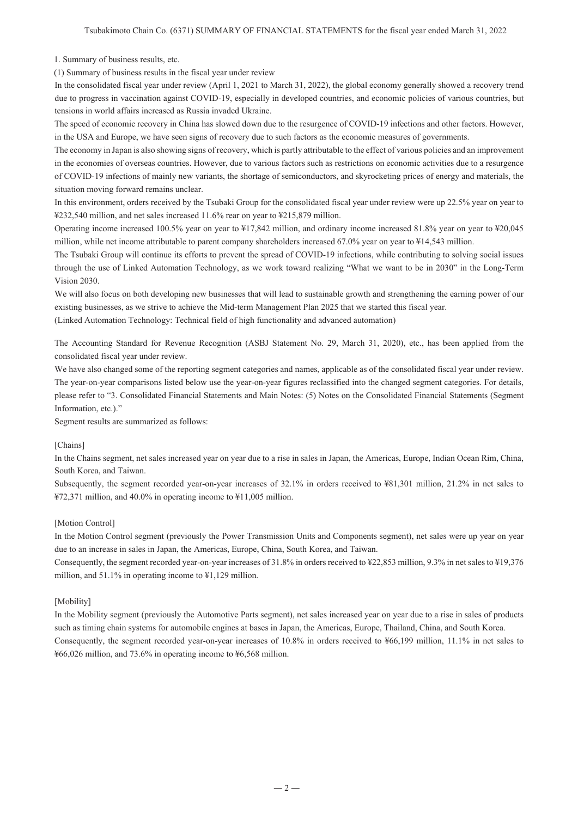1. Summary of business results, etc.

(1) Summary of business results in the fiscal year under review

In the consolidated fiscal year under review (April 1, 2021 to March 31, 2022), the global economy generally showed a recovery trend due to progress in vaccination against COVID-19, especially in developed countries, and economic policies of various countries, but tensions in world affairs increased as Russia invaded Ukraine.

The speed of economic recovery in China has slowed down due to the resurgence of COVID-19 infections and other factors. However, in the USA and Europe, we have seen signs of recovery due to such factors as the economic measures of governments.

The economy in Japan is also showing signs of recovery, which is partly attributable to the effect of various policies and an improvement in the economies of overseas countries. However, due to various factors such as restrictions on economic activities due to a resurgence of COVID-19 infections of mainly new variants, the shortage of semiconductors, and skyrocketing prices of energy and materials, the situation moving forward remains unclear.

In this environment, orders received by the Tsubaki Group for the consolidated fiscal year under review were up 22.5% year on year to ¥232,540 million, and net sales increased 11.6% rear on year to ¥215,879 million.

Operating income increased 100.5% year on year to ¥17,842 million, and ordinary income increased 81.8% year on year to ¥20,045 million, while net income attributable to parent company shareholders increased 67.0% year on year to ¥14,543 million.

The Tsubaki Group will continue its efforts to prevent the spread of COVID-19 infections, while contributing to solving social issues through the use of Linked Automation Technology, as we work toward realizing "What we want to be in 2030" in the Long-Term Vision 2030.

We will also focus on both developing new businesses that will lead to sustainable growth and strengthening the earning power of our existing businesses, as we strive to achieve the Mid-term Management Plan 2025 that we started this fiscal year. (Linked Automation Technology: Technical field of high functionality and advanced automation)

The Accounting Standard for Revenue Recognition (ASBJ Statement No. 29, March 31, 2020), etc., has been applied from the consolidated fiscal year under review.

We have also changed some of the reporting segment categories and names, applicable as of the consolidated fiscal year under review. The year-on-year comparisons listed below use the year-on-year figures reclassified into the changed segment categories. For details, please refer to "3. Consolidated Financial Statements and Main Notes: (5) Notes on the Consolidated Financial Statements (Segment Information, etc.)."

Segment results are summarized as follows:

#### [Chains]

In the Chains segment, net sales increased year on year due to a rise in sales in Japan, the Americas, Europe, Indian Ocean Rim, China, South Korea, and Taiwan.

Subsequently, the segment recorded year-on-year increases of 32.1% in orders received to ¥81,301 million, 21.2% in net sales to ¥72,371 million, and 40.0% in operating income to ¥11,005 million.

#### [Motion Control]

In the Motion Control segment (previously the Power Transmission Units and Components segment), net sales were up year on year due to an increase in sales in Japan, the Americas, Europe, China, South Korea, and Taiwan.

Consequently, the segment recorded year-on-year increases of 31.8% in orders received to ¥22,853 million, 9.3% in net sales to ¥19,376 million, and 51.1% in operating income to ¥1,129 million.

#### [Mobility]

In the Mobility segment (previously the Automotive Parts segment), net sales increased year on year due to a rise in sales of products such as timing chain systems for automobile engines at bases in Japan, the Americas, Europe, Thailand, China, and South Korea. Consequently, the segment recorded year-on-year increases of 10.8% in orders received to ¥66,199 million, 11.1% in net sales to ¥66,026 million, and 73.6% in operating income to ¥6,568 million.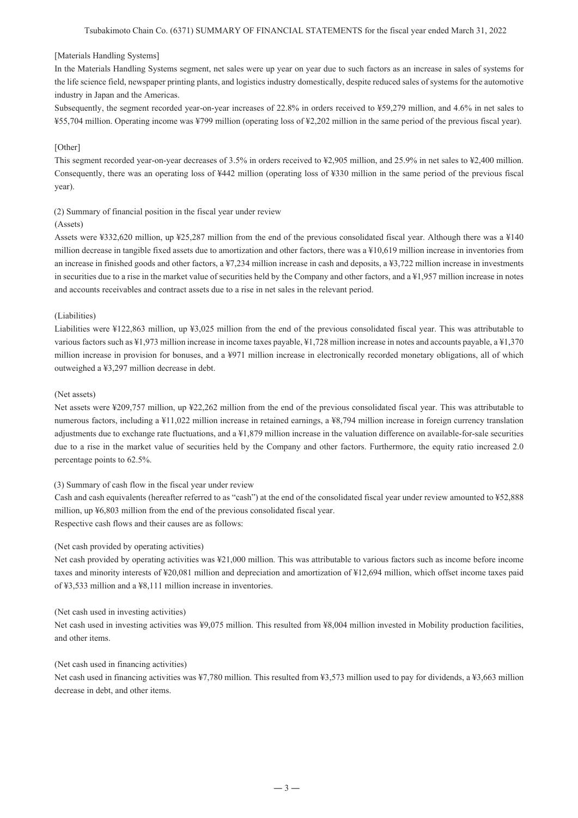#### [Materials Handling Systems]

In the Materials Handling Systems segment, net sales were up year on year due to such factors as an increase in sales of systems for the life science field, newspaper printing plants, and logistics industry domestically, despite reduced sales of systems for the automotive industry in Japan and the Americas.

Subsequently, the segment recorded year-on-year increases of 22.8% in orders received to ¥59,279 million, and 4.6% in net sales to ¥55,704 million. Operating income was ¥799 million (operating loss of ¥2,202 million in the same period of the previous fiscal year).

### [Other]

This segment recorded year-on-year decreases of 3.5% in orders received to ¥2,905 million, and 25.9% in net sales to ¥2,400 million. Consequently, there was an operating loss of ¥442 million (operating loss of ¥330 million in the same period of the previous fiscal year).

(2) Summary of financial position in the fiscal year under review

#### (Assets)

Assets were ¥332,620 million, up ¥25,287 million from the end of the previous consolidated fiscal year. Although there was a ¥140 million decrease in tangible fixed assets due to amortization and other factors, there was a ¥10,619 million increase in inventories from an increase in finished goods and other factors, a ¥7,234 million increase in cash and deposits, a ¥3,722 million increase in investments in securities due to a rise in the market value of securities held by the Company and other factors, and a ¥1,957 million increase in notes and accounts receivables and contract assets due to a rise in net sales in the relevant period.

#### (Liabilities)

Liabilities were ¥122,863 million, up ¥3,025 million from the end of the previous consolidated fiscal year. This was attributable to various factors such as ¥1,973 million increase in income taxes payable, ¥1,728 million increase in notes and accounts payable, a ¥1,370 million increase in provision for bonuses, and a ¥971 million increase in electronically recorded monetary obligations, all of which outweighed a ¥3,297 million decrease in debt.

#### (Net assets)

Net assets were ¥209,757 million, up ¥22,262 million from the end of the previous consolidated fiscal year. This was attributable to numerous factors, including a ¥11,022 million increase in retained earnings, a ¥8,794 million increase in foreign currency translation adjustments due to exchange rate fluctuations, and a ¥1,879 million increase in the valuation difference on available-for-sale securities due to a rise in the market value of securities held by the Company and other factors. Furthermore, the equity ratio increased 2.0 percentage points to 62.5%.

#### (3) Summary of cash flow in the fiscal year under review

Cash and cash equivalents (hereafter referred to as "cash") at the end of the consolidated fiscal year under review amounted to ¥52,888 million, up ¥6,803 million from the end of the previous consolidated fiscal year. Respective cash flows and their causes are as follows:

#### (Net cash provided by operating activities)

Net cash provided by operating activities was ¥21,000 million. This was attributable to various factors such as income before income taxes and minority interests of ¥20,081 million and depreciation and amortization of ¥12,694 million, which offset income taxes paid of ¥3,533 million and a ¥8,111 million increase in inventories.

#### (Net cash used in investing activities)

Net cash used in investing activities was ¥9,075 million. This resulted from ¥8,004 million invested in Mobility production facilities, and other items.

#### (Net cash used in financing activities)

Net cash used in financing activities was ¥7,780 million. This resulted from ¥3,573 million used to pay for dividends, a ¥3,663 million decrease in debt, and other items.